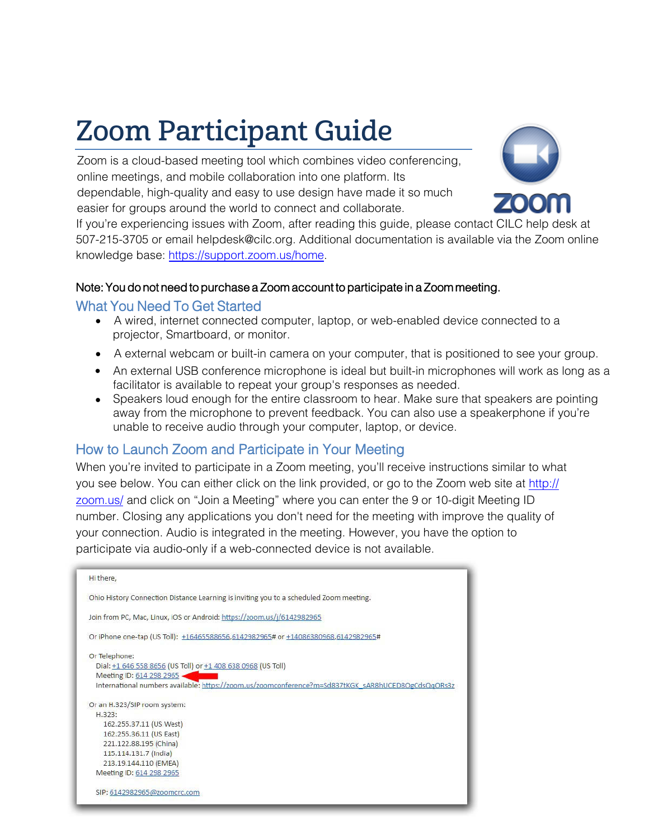# Zoom Participant Guide

Zoom is a cloud-based meeting tool which combines video conferencing, online meetings, and mobile collaboration into one platform. Its dependable, high-quality and easy to use design have made it so much easier for groups around the world to connect and collaborate.



If you're experiencing issues with Zoom, after reading this guide, please contact CILC help desk at 507-215-3705 or email helpdesk@cilc.org. Additional documentation is available via the Zoom online knowledge base: https://support.zoom.us/home.

#### Note: You do not need to purchase a Zoom account to participate in a Zoom meeting.

#### [What You Need To Get St](https://support.zoom.us/home)arted

- A wired, internet connected computer, laptop, or web-enabled device connected to a projector, Smartboard, or monitor.
- A external webcam or built-in camera on your computer, that is positioned to see your group.
- An external USB conference microphone is ideal but built-in microphones will work as long as a facilitator is available to repeat your group's responses as needed.
- Speakers loud enough for the entire classroom to hear. Make sure that speakers are pointing away from the microphone to prevent feedback. You can also use a speakerphone if you're unable to receive audio through your computer, laptop, or device.

## How to Launch Zoom and Participate in Your Meeting

When you're invited to participate in a Zoom meeting, you'll receive ins[tructions similar to what](http://ottawa.zoom.us/) you see below. You can either click on the link provided, or go to the Zoom web site at http:// zoom.us/ and click on "Join a Meeting" where you can enter the 9 or 10-digit Meeting ID number. Closing any applications you don't need for the meeting with improve the quality of your connection. Audio is integrated in the meeting. However, you have the option to participate via audio-only if a web-connected device is not available.

| Hi there,                                                                                          |
|----------------------------------------------------------------------------------------------------|
| Ohio History Connection Distance Learning is inviting you to a scheduled Zoom meeting.             |
| Join from PC, Mac, Linux, iOS or Android: https://zoom.us/j/6142982965                             |
| Or iPhone one-tap (US Toll): +16465588656,6142982965# or +14086380968,6142982965#                  |
| Or Telephone:                                                                                      |
| Dial: +1 646 558 8656 (US Toll) or +1 408 638 0968 (US Toll)                                       |
| Meeting ID: 614 298 2965 .                                                                         |
| International numbers available: https://zoom.us/zoomconference?m=Sd837tKGK_sAR8hUCED8OgCdsQqORs3z |
| Or an H.323/SIP room system:                                                                       |
| H.323:                                                                                             |
| 162.255.37.11 (US West)                                                                            |
| 162.255.36.11 (US East)                                                                            |
| 221.122.88.195 (China)                                                                             |
| 115.114.131.7 (India)                                                                              |
| 213.19.144.110 (EMEA)                                                                              |
| Meeting ID: 614 298 2965                                                                           |
| SIP: 6142982965@zoomcrc.com                                                                        |
|                                                                                                    |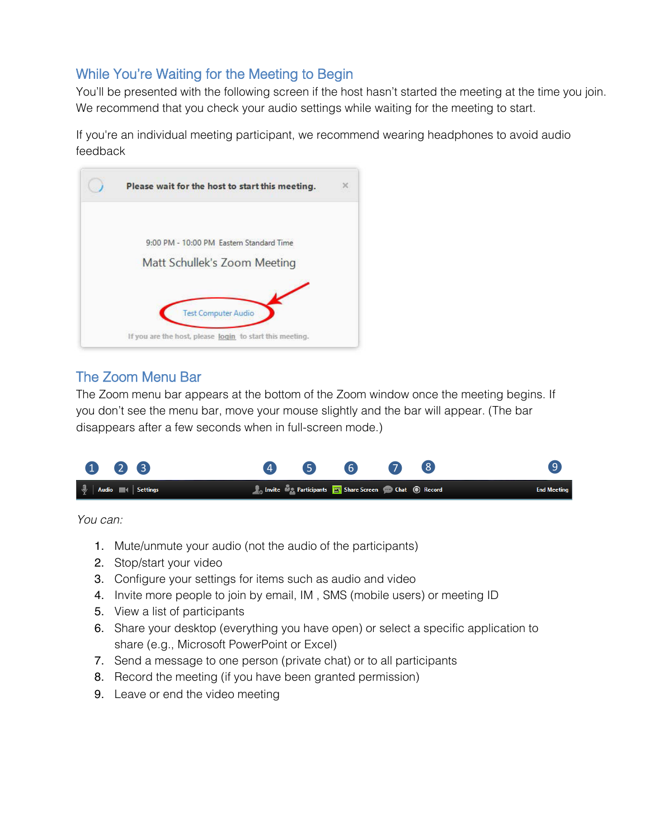## While You're Waiting for the Meeting to Begin

You'll be presented with the following screen if the host hasn't started the meeting at the time you join. We recommend that you check your audio settings while waiting for the meeting to start.

If you're an individual meeting participant, we recommend wearing headphones to avoid audio feedback



## The Zoom Menu Bar

The Zoom menu bar appears at the bottom of the Zoom window once the meeting begins. If you don't see the menu bar, move your mouse slightly and the bar will appear. (The bar disappears after a few seconds when in full-screen mode.)



You can:

- 1. Mute/unmute your audio (not the audio of the participants)
- 2. Stop/start your video
- 3. Configure your settings for items such as audio and video
- 4. Invite more people to join by email, IM , SMS (mobile users) or meeting ID
- 5. View a list of participants
- 6. Share your desktop (everything you have open) or select a specific application to share (e.g., Microsoft PowerPoint or Excel)
- 7. Send a message to one person (private chat) or to all participants
- 8. Record the meeting (if you have been granted permission)
- 9. Leave or end the video meeting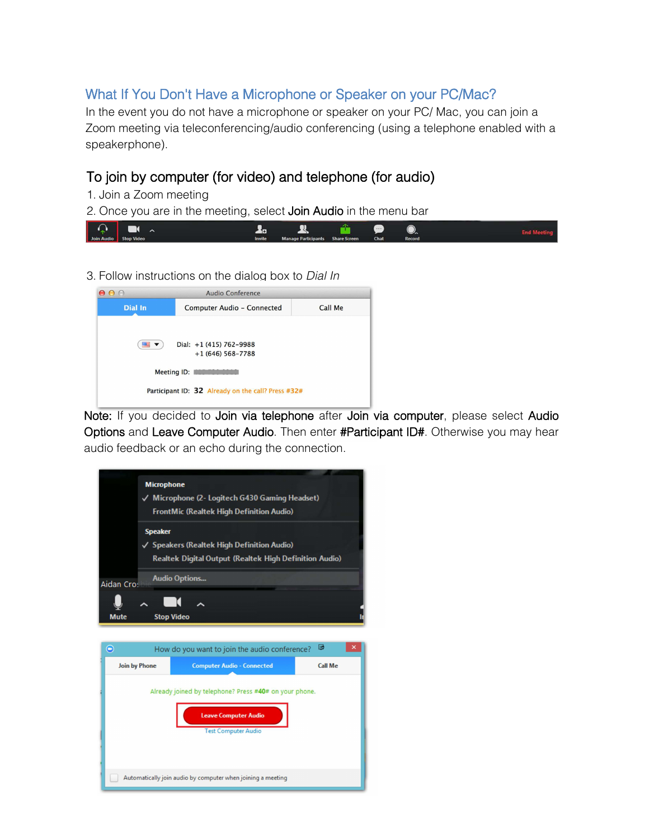## What If You Don't Have a Microphone or Speaker on your PC/Mac?

In the event you do not have a microphone or speaker on your PC/ Mac, you can join a Zoom meeting via teleconferencing/audio conferencing (using a telephone enabled with a speakerphone).

## To join by computer (for video) and telephone (for audio)

- 1. Join a Zoom meeting
- 2. Once you are in the meeting, select **Join Audio** in the menu bar



3. Follow instructions on the dialog box to Dial In



Note: If you decided to Join via telephone after Join via computer, please select Audio Options and Leave Computer Audio. Then enter #Participant ID#. Otherwise you may hear audio feedback or an echo during the connection.

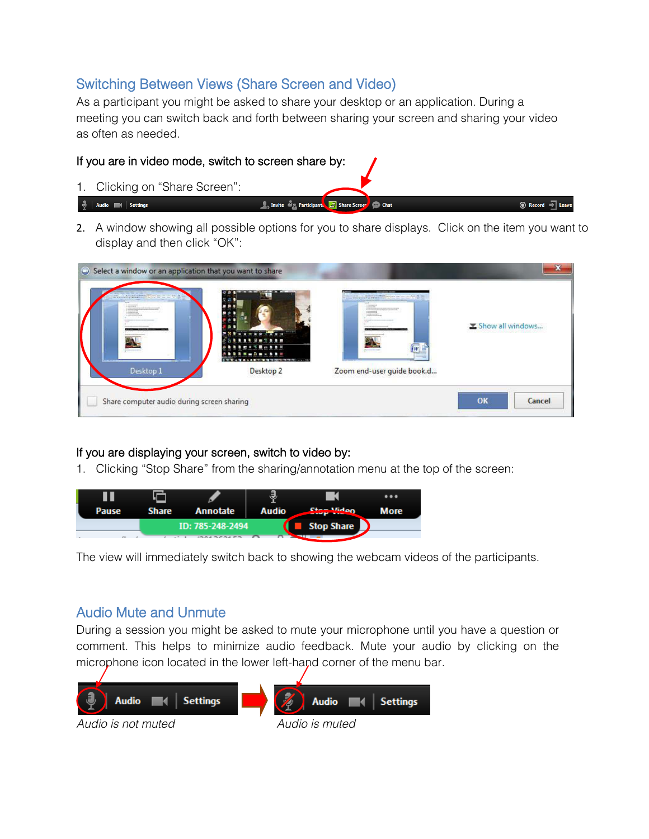## Switching Between Views (Share Screen and Video)

As a participant you might be asked to share your desktop or an application. During a meeting you can switch back and forth between sharing your screen and sharing your video as often as needed.

**All Invite May Participants To Share Scre** 

#### If you are in video mode, switch to screen share by:

1. Clicking on "Share Screen":

#### $\frac{1}{2}$  | Audio  $\blacksquare$  | Settings

2. A window showing all possible options for you to share displays. Click on the item you want to display and then click "OK":

<sup>n</sup> Chat

◉ Record → Lea

| and in a contract perform and concern did<br>an alternative in the detection<br>Desktop 1 | <b>Stone Car</b><br>where we have the com-<br><b>BR Hm T B B m</b><br><b>SAABEITEMBBH</b><br><b><i><b><i>BRRW-DM-BRH</i></b></i></b><br>In 1979, with a country of the company of the control of the con-<br>anno 30<br>Desktop <sub>2</sub> | <b><i>Charley Harrison and Charles</i></b><br><b>American Constitution</b><br>to it's minimal decourt and go viscolated a<br><b>CONTRACTOR</b><br><b>BW</b><br><b>Management</b><br>Zoom end-user guide book.d | Show all windows |  |
|-------------------------------------------------------------------------------------------|----------------------------------------------------------------------------------------------------------------------------------------------------------------------------------------------------------------------------------------------|----------------------------------------------------------------------------------------------------------------------------------------------------------------------------------------------------------------|------------------|--|
| Share computer audio during screen sharing                                                |                                                                                                                                                                                                                                              |                                                                                                                                                                                                                | OK<br>Cancel     |  |

#### If you are displaying your screen, switch to video by:

1. Clicking "Stop Share" from the sharing/annotation menu at the top of the screen:



The view will immediately switch back to showing the webcam videos of the participants.

## Audio Mute and Unmute

During a session you might be asked to mute your microphone until you have a question or comment. This helps to minimize audio feedback. Mute your audio by clicking on the microphone icon located in the lower left-hand corner of the menu bar.



Audio is not muted and all and Audio is muted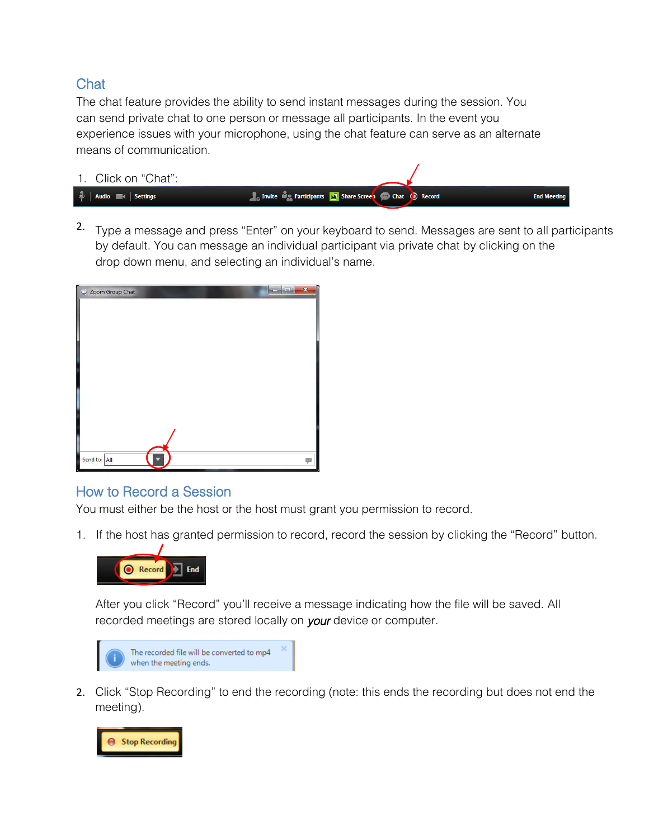## **Chat**

The chat feature provides the ability to send instant messages during the session. You can send private chat to one person or message all participants. In the event you experience issues with your microphone, using the chat feature can serve as an alternate means of communication.



<sup>2.</sup> Type a message and press "Enter" on your keyboard to send. Messages are sent to all participants by default. You can message an individual participant via private chat by clicking on the drop down menu, and selecting an individual's name.

| C Zoom Group Chat<br>$\Box$ | × |
|-----------------------------|---|
|                             |   |
|                             |   |
|                             |   |
|                             |   |
|                             |   |
|                             |   |
|                             |   |
| I                           |   |
|                             |   |
| I                           |   |
| Send to: All                |   |

#### How to Record a Session

You must either be the host or the host must grant you permission to record.

1. If the host has granted permission to record, record the session by clicking the "Record" button.

![](_page_4_Picture_8.jpeg)

After you click "Record" you'll receive a message indicating how the file will be saved. All recorded meetings are stored locally on your device or computer.

![](_page_4_Picture_10.jpeg)

2. Click "Stop Recording" to end the recording (note: this ends the recording but does not end the meeting).

![](_page_4_Picture_12.jpeg)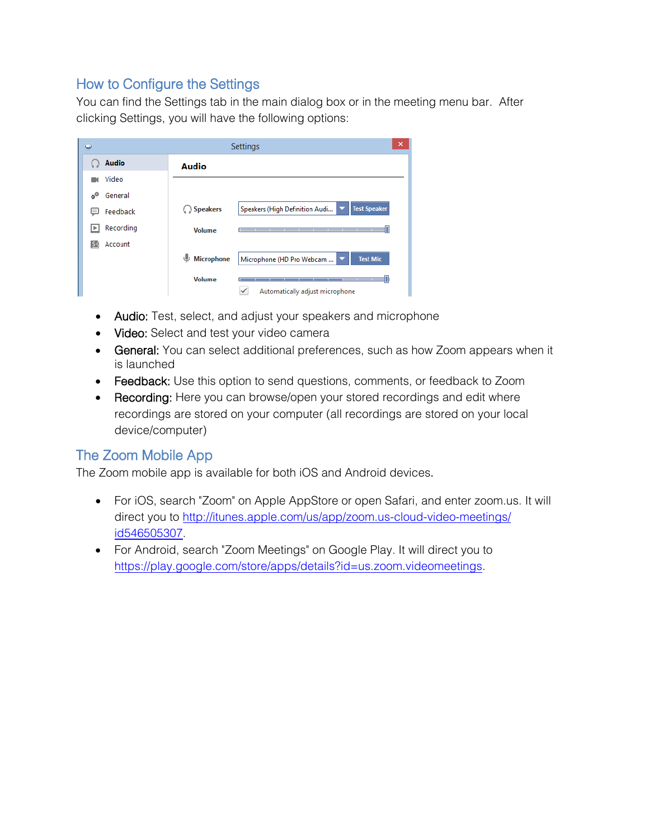## How to Configure the Settings

You can find the Settings tab in the main dialog box or in the meeting menu bar. After clicking Settings, you will have the following options:

| $\Box$                     |                        | Settings                                              | × |
|----------------------------|------------------------|-------------------------------------------------------|---|
| <b>Audio</b>               | <b>Audio</b>           |                                                       |   |
| Video                      |                        |                                                       |   |
| General<br>-o <sup>0</sup> |                        |                                                       |   |
| Feedback<br>⊟              | Speakers               | <b>Test Speaker</b><br>Speakers (High Definition Audi |   |
| Recording<br>∣⊧            | <b>Volume</b>          |                                                       |   |
| Account<br>54              |                        |                                                       |   |
|                            | J<br><b>Microphone</b> | <b>Test Mic</b><br>Microphone (HD Pro Webcam          |   |
|                            | <b>Volume</b>          | Automatically adjust microphone                       |   |

- Audio: Test, select, and adjust your speakers and microphone
- Video: Select and test your video camera
- General: You can select additional preferences, such as how Zoom appears when it is launched
- Feedback: Use this option to send questions, comments, or feedback to Zoom
- Recording: Here you can browse/open your stored recordings and edit where recordings are stored on your computer (all recordings are stored on your local device/computer)

## The Zoom Mobile App

The Zoom mobile app is available for both iOS and Android devices.

- For iOS, search "Zoom" on Apple AppStore or open Safari, and enter zoom.us. It will di[rect you to http://itunes.apple.com/us/app/zoom.us-cloud-video-meeting](http://itunes.apple.com/us/app/zoom.us-cloud-video-meetings/id546505307)s/ id546505307.
- [For Android, search "Zoom Meetings" on Google Play. It will direct](https://play.google.com/store/apps/details?id=us.zoom.videomeetings) you to https://play.google.com/store/apps/details?id=us.zoom.videomeetings.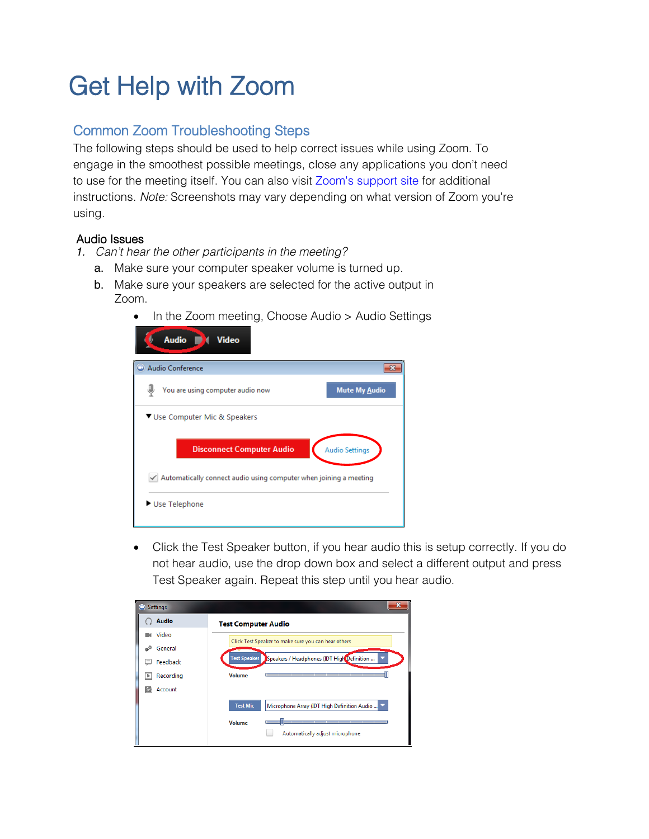## Get Help with Zoom

## Common Zoom Troubleshooting Steps

The following steps should be used to help correct issues while using Zoom. To engage in the smoothest possible meetings, close any applications you don't need to use for the meetin[g itself. You can als](https://support.zoom.us/hc/en-us)o visit Zoom's support site for additional instructions. Note: Screenshots may vary depending on what version of Zoom you're using.

#### Audio Issues

- 1. Can't hear the other participants in the meeting?
	- a. Make sure your computer speaker volume is turned up.
	- b. Make sure your speakers are selected for the active output in Zoom.
		- In the Zoom meeting, Choose Audio > Audio Settings

| <b>Audio</b><br><b>Video</b>                                      |  |
|-------------------------------------------------------------------|--|
| Audio Conference                                                  |  |
| You are using computer audio now<br><b>Mute My Audio</b>          |  |
| ▼ Use Computer Mic & Speakers                                     |  |
| <b>Disconnect Computer Audio</b><br><b>Audio Settings</b>         |  |
| Automatically connect audio using computer when joining a meeting |  |
| Use Telephone                                                     |  |

 Click the Test Speaker button, if you hear audio this is setup correctly. If you do not hear audio, use the drop down box and select a different output and press Test Speaker again. Repeat this step until you hear audio.

| <b>Settings</b>     | x                                                                 |
|---------------------|-------------------------------------------------------------------|
| <b>Audio</b>        | <b>Test Computer Audio</b>                                        |
| Video               | Click Test Speaker to make sure you can hear others               |
| General<br>$\phi^0$ |                                                                   |
| Feedback<br>$=$     | <b>Test Speaker</b><br>Speakers / Headphones (IDT High Definition |
| Recording<br>Þ      | <b>Volume</b><br>________<br>_____                                |
| Account<br>54       |                                                                   |
|                     | <b>Test Mic</b><br>Microphone Array (IDT High Definition Audio    |
|                     | <b>Volume</b>                                                     |
|                     | Automatically adjust microphone                                   |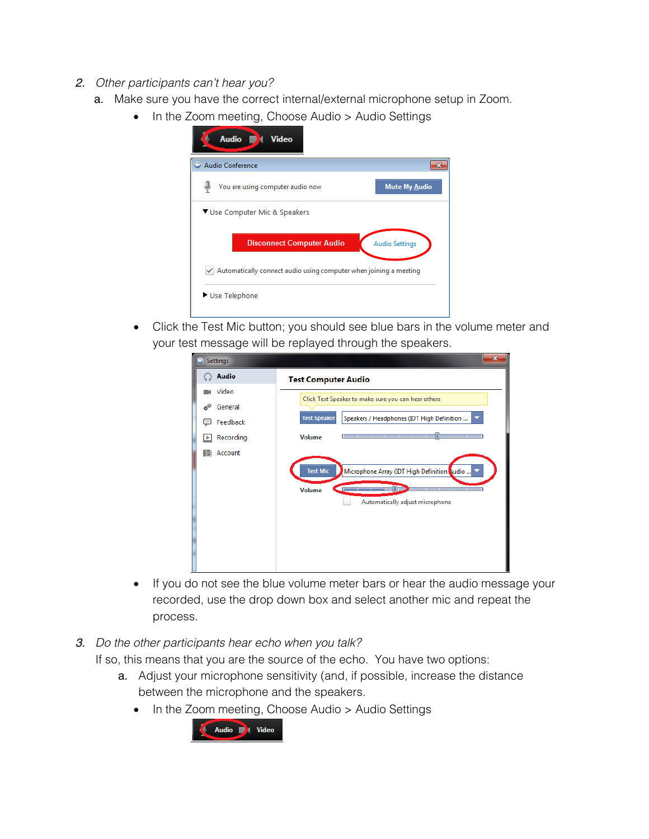- 2. Other participants can't hear you?
	- a. Make sure you have the correct internal/external microphone setup in Zoom.
		- In the Zoom meeting, Choose Audio > Audio Settings

| <b>Mute My Audio</b><br>You are using computer audio now<br>▼ Use Computer Mic & Speakers |  |
|-------------------------------------------------------------------------------------------|--|
|                                                                                           |  |
|                                                                                           |  |
|                                                                                           |  |
| <b>Disconnect Computer Audio</b><br><b>Audio Settings</b>                                 |  |
| $\checkmark$ Automatically connect audio using computer when joining a meeting            |  |

 Click the Test Mic button; you should see blue bars in the volume meter and your test message will be replayed through the speakers.

| Settings        | $\mathbf{x}$                                                                                                                                                              |
|-----------------|---------------------------------------------------------------------------------------------------------------------------------------------------------------------------|
| <b>Audio</b>    | <b>Test Computer Audio</b>                                                                                                                                                |
| Video           | Click Test Speaker to make sure you can hear others                                                                                                                       |
| ۵º<br>General   |                                                                                                                                                                           |
| Feedback        | <b>Test Speaker</b><br>Speakers / Headphones (IDT High Definition                                                                                                         |
| Recording<br>٠  | <b>Volume</b><br>_________                                                                                                                                                |
| Account<br> \$≮ | <b>Test Mic</b><br>Microphone Array (IDT High Definition Qudio<br><b>Contract Contract Contract Contract Contract</b><br><b>Volume</b><br>Automatically adjust microphone |

- If you do not see the blue volume meter bars or hear the audio message your recorded, use the drop down box and select another mic and repeat the process.
- 3. Do the other participants hear echo when you talk?

If so, this means that you are the source of the echo. You have two options:

- a. Adjust your microphone sensitivity (and, if possible, increase the distance between the microphone and the speakers.
	- In the Zoom meeting, Choose Audio > Audio Settings

![](_page_7_Picture_11.jpeg)